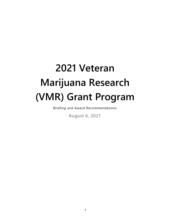# **2021 Veteran Marijuana Research (VMR) Grant Program**

Briefing and Award Recommendations

August 6, 2021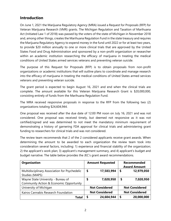# **Introduction**

On June 1, 2021 the Marijuana Regulatory Agency (MRA) issued a Request for Proposals (RFP) for Veteran Marijuana Research (VMR) grants. The Michigan Regulation and Taxation of Marihuana Act (Initiated Law 1 of 2018) was passed by the voters of the state of Michigan in November 2018 and, among other things, creates the Marihuana Regulation Fund in the state treasury and requires the Marijuana Regulatory Agency to expend money in the fund until 2022 or for at least two years, to provide \$20 million annually to one or more clinical trials that are approved by the United States Food and Drug Administration and sponsored by a non-profit organization or researcher within an academic institution researching the efficacy of marijuana in treating the medical conditions of United States armed services veterans and preventing veteran suicide.

The purpose of this Request for Proposals (RFP) is to obtain proposals from non-profit organizations or academic institutions that will outline plans to coordinate and manage research into the efficacy of marijuana in treating the medical conditions of United States armed services veterans and preventing veteran suicide.

The grant period is expected to begin August 16, 2021 and end when the clinical trials are complete. The amount available for this Veteran Marijuana Research Grant is \$20,000,000, consisting entirely of funds from the Marihuana Regulation Fund.

The MRA received responsive proposals in response to the RFP from the following two (2) organizations totaling \$24,604,944.

One proposal was received after the due date of 12:00 PM noon on July 16, 2021 and was not considered. One proposal was received timely, but deemed not responsive as it was not certified/signed and was determined to not meet the mandatory minimum requirement of demonstrating a history of garnering FDA approval for clinical trials and administering grant funding to researchers for clinical trials and was not considered.

The review team recommends that 2 of the 2 considered applicants receive grant awards. When determining the amount to be awarded to each organization the review team took into consideration several factors, including: 1) experience and financial stability of the organization; 2) the applicant's work plan; 3) applicant's management summary, and 4) applicant's budget and budget narrative. The table below provides the JEC's grant award recommendations.

| <b>Organization</b>                                                           |    | <b>Amount Requested</b> |    | <b>Recommended</b><br><b>Award Amount</b> |
|-------------------------------------------------------------------------------|----|-------------------------|----|-------------------------------------------|
| Multidisciplinary Association for Psychedelic<br>Studies (MAPS)               | \$ | 17,583,994              | \$ | 12,979,050                                |
| Wayne State University - Bureau of<br>Community Action & Economic Opportunity | \$ | 7,020,950               | \$ | 7,020,950                                 |
| University of Michigan                                                        |    | <b>Not Considered</b>   |    | <b>Not Considered</b>                     |
| Kairos Cannabis Research Foundation                                           |    | <b>Not Considered</b>   |    | <b>Not Considered</b>                     |
| Total                                                                         | S  | 24,604,944              | S  | 20,000,000                                |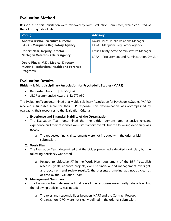# **Evaluation Method**

Responses to this solicitation were reviewed by Joint Evaluation Committee*,* which consisted of the following individuals:

| <b>Voting</b>                                                                                            | <b>Advisory</b>                                |
|----------------------------------------------------------------------------------------------------------|------------------------------------------------|
| <b>Andrew Brisbo, Executive Director</b>                                                                 | David Harns, Public Relations Manager          |
| <b>LARA - Marijuana Regulatory Agency</b>                                                                | LARA - Marijuana Regulatory Agency             |
| <b>Robert Near, Deputy Director</b>                                                                      | Leslie Christy, State Administrative Manager   |
| <b>Michigan Veterans Affairs Agency</b>                                                                  | LARA - Procurement and Administration Division |
| Debra Pinals, M.D., Medical Director<br><b>MDHHS - Behavioral Health and Forensic</b><br><b>Programs</b> |                                                |

## **Evaluation Results**

**Bidder #1: Multidisciplinary Association for Psychedelic Studies (MAPS)**

- Requested Amount: \$ 17,583,994
- JEC Recommended Award: \$ 12,979,050

The Evaluation Team determined that Multidisciplinary Association for Psychedelic Studies (MAPS) received a fundable score for their RFP response. This determination was accomplished by evaluating their responses to the Evaluation Criteria.

### **1. Experience and Financial Stability of the Organization:**

- The Evaluation Team determined that the bidder demonstrated extensive relevant experience and their responses were satisfactory overall, but the following deficiency was noted:
	- a. The requested financial statements were not included with the original bid submission.

### **2. Work Plan**

- The Evaluation Team determined that the bidder presented a detailed work plan, but the following deficiency was noted:
	- a. Related to objective #7 in the Work Plan requirement of the RFP ("establish research goals, approve projects, exercise financial and management oversight, and document and review results"), the presented timeline was not as clear as desired by the Evaluation Team.

### **3. Management Summary**

- The Evaluation Team determined that overall, the responses were mostly satisfactory, but the following deficiency was noted:
	- a. The roles and responsibilities between MAPS and the Contract Research Organization (CRO) were not clearly defined in the original submission.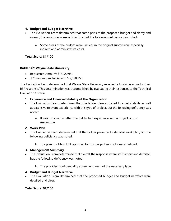### **4. Budget and Budget Narrative**

- The Evaluation Team determined that some parts of the proposed budget had clarity and overall, the responses were satisfactory, but the following deficiency was noted:
	- a. Some areas of the budget were unclear in the original submission, especially indirect and administrative costs.

## **Total Score: 81/100**

### **Bidder #2: Wayne State University**

- Requested Amount: \$ 7,020,950
- JEC Recommended Award: \$ 7,020,950

The Evaluation Team determined that Wayne State University received a fundable score for their RFP response. This determination was accomplished by evaluating their responses to the Technical Evaluation Criteria.

### **1. Experience and Financial Stability of the Organization**

- The Evaluation Team determined that the bidder demonstrated financial stability as well as extensive relevant experience with this type of project, but the following deficiency was noted:
	- a. It was not clear whether the bidder had experience with a project of this magnitude.

### **2. Work Plan**

- The Evaluation Team determined that the bidder presented a detailed work plan, but the following deficiency was noted:
	- b. The plan to obtain FDA approval for this project was not clearly defined.

#### **3. Management Summary**

- The Evaluation Team determined that overall, the responses were satisfactory and detailed, but the following deficiency was noted:
	- b. The provided confidentiality agreement was not the necessary type.

### **4. Budget and Budget Narrative**

• The Evaluation Team determined that the proposed budget and budget narrative were detailed and clear.

### **Total Score: 97/100**